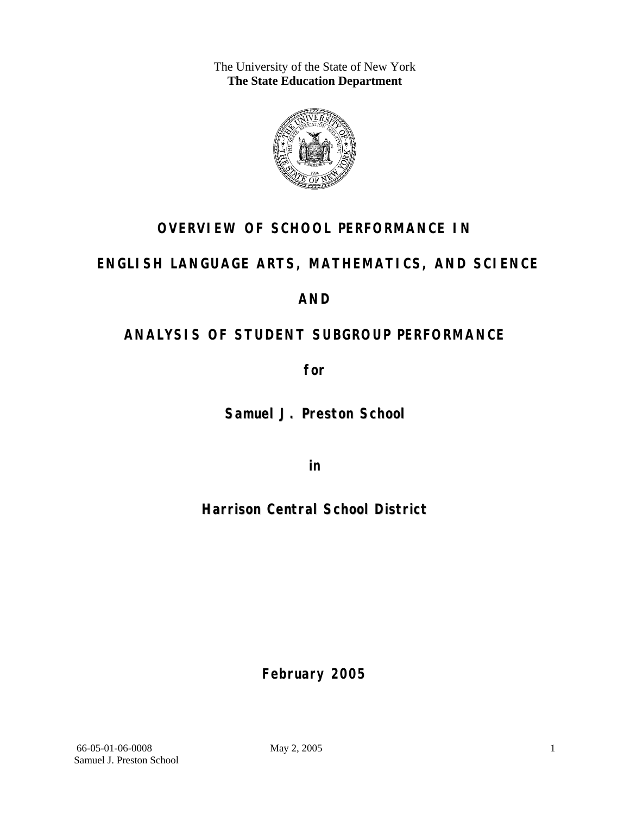The University of the State of New York **The State Education Department** 



### **OVERVIEW OF SCHOOL PERFORMANCE IN**

### **ENGLISH LANGUAGE ARTS, MATHEMATICS, AND SCIENCE**

### **AND**

## **ANALYSIS OF STUDENT SUBGROUP PERFORMANCE**

**for** 

**Samuel J. Preston School**

**in** 

**Harrison Central School District**

**February 2005**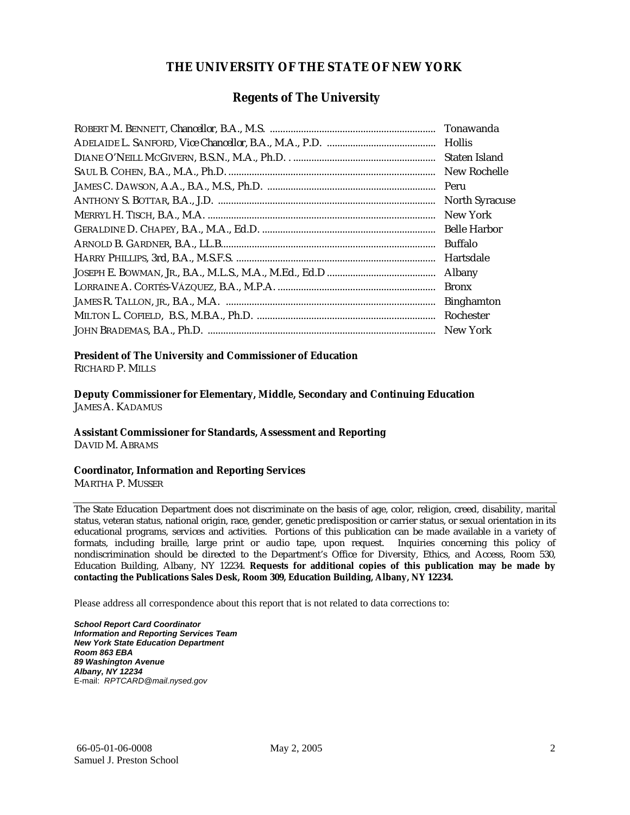#### **THE UNIVERSITY OF THE STATE OF NEW YORK**

#### **Regents of The University**

| Tonawanda             |
|-----------------------|
|                       |
| Staten Island         |
| New Rochelle          |
| Peru                  |
| <b>North Syracuse</b> |
| New York              |
| <b>Belle Harbor</b>   |
| <b>Buffalo</b>        |
| Hartsdale             |
| Albany                |
| <b>Bronx</b>          |
| <b>Binghamton</b>     |
| Rochester             |
| New York              |

### **President of The University and Commissioner of Education**

RICHARD P. MILLS

**Deputy Commissioner for Elementary, Middle, Secondary and Continuing Education**  JAMES A. KADAMUS

#### **Assistant Commissioner for Standards, Assessment and Reporting**  DAVID M. ABRAMS

**Coordinator, Information and Reporting Services** 

MARTHA P. MUSSER

The State Education Department does not discriminate on the basis of age, color, religion, creed, disability, marital status, veteran status, national origin, race, gender, genetic predisposition or carrier status, or sexual orientation in its educational programs, services and activities. Portions of this publication can be made available in a variety of formats, including braille, large print or audio tape, upon request. Inquiries concerning this policy of nondiscrimination should be directed to the Department's Office for Diversity, Ethics, and Access, Room 530, Education Building, Albany, NY 12234. **Requests for additional copies of this publication may be made by contacting the Publications Sales Desk, Room 309, Education Building, Albany, NY 12234.** 

Please address all correspondence about this report that is not related to data corrections to:

*School Report Card Coordinator Information and Reporting Services Team New York State Education Department Room 863 EBA 89 Washington Avenue Albany, NY 12234*  E-mail: *RPTCARD@mail.nysed.gov*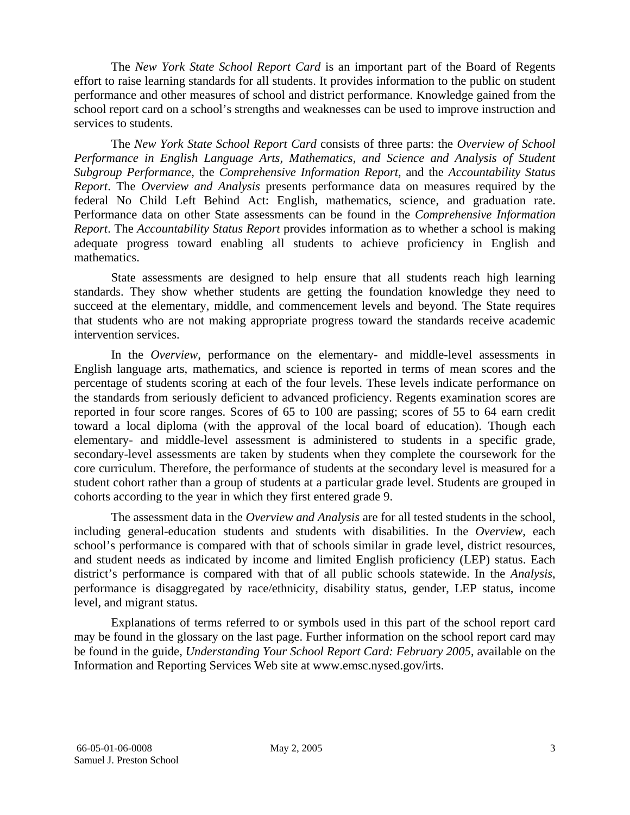The *New York State School Report Card* is an important part of the Board of Regents effort to raise learning standards for all students. It provides information to the public on student performance and other measures of school and district performance. Knowledge gained from the school report card on a school's strengths and weaknesses can be used to improve instruction and services to students.

The *New York State School Report Card* consists of three parts: the *Overview of School Performance in English Language Arts, Mathematics, and Science and Analysis of Student Subgroup Performance,* the *Comprehensive Information Report,* and the *Accountability Status Report*. The *Overview and Analysis* presents performance data on measures required by the federal No Child Left Behind Act: English, mathematics, science, and graduation rate. Performance data on other State assessments can be found in the *Comprehensive Information Report*. The *Accountability Status Report* provides information as to whether a school is making adequate progress toward enabling all students to achieve proficiency in English and mathematics.

State assessments are designed to help ensure that all students reach high learning standards. They show whether students are getting the foundation knowledge they need to succeed at the elementary, middle, and commencement levels and beyond. The State requires that students who are not making appropriate progress toward the standards receive academic intervention services.

In the *Overview*, performance on the elementary- and middle-level assessments in English language arts, mathematics, and science is reported in terms of mean scores and the percentage of students scoring at each of the four levels. These levels indicate performance on the standards from seriously deficient to advanced proficiency. Regents examination scores are reported in four score ranges. Scores of 65 to 100 are passing; scores of 55 to 64 earn credit toward a local diploma (with the approval of the local board of education). Though each elementary- and middle-level assessment is administered to students in a specific grade, secondary-level assessments are taken by students when they complete the coursework for the core curriculum. Therefore, the performance of students at the secondary level is measured for a student cohort rather than a group of students at a particular grade level. Students are grouped in cohorts according to the year in which they first entered grade 9.

The assessment data in the *Overview and Analysis* are for all tested students in the school, including general-education students and students with disabilities. In the *Overview*, each school's performance is compared with that of schools similar in grade level, district resources, and student needs as indicated by income and limited English proficiency (LEP) status. Each district's performance is compared with that of all public schools statewide. In the *Analysis*, performance is disaggregated by race/ethnicity, disability status, gender, LEP status, income level, and migrant status.

Explanations of terms referred to or symbols used in this part of the school report card may be found in the glossary on the last page. Further information on the school report card may be found in the guide, *Understanding Your School Report Card: February 2005*, available on the Information and Reporting Services Web site at www.emsc.nysed.gov/irts.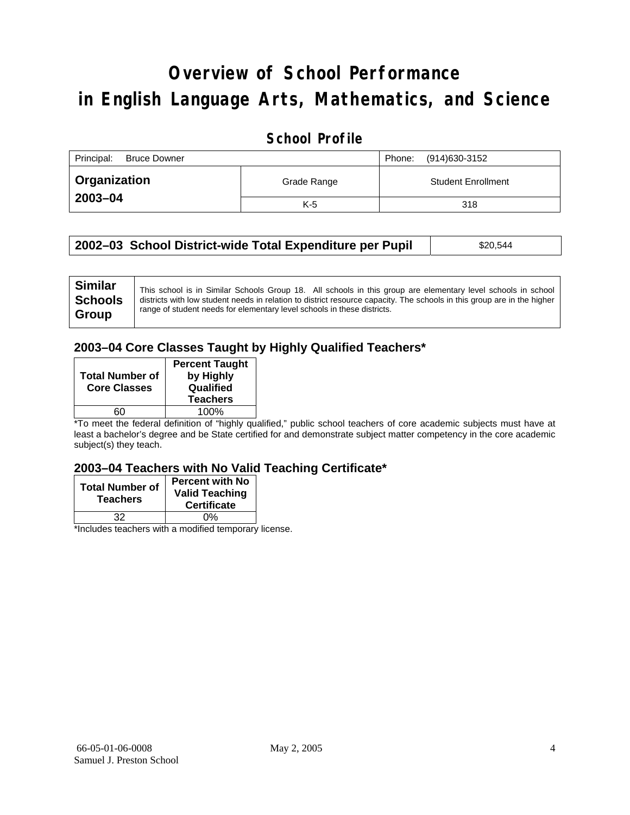# **Overview of School Performance in English Language Arts, Mathematics, and Science**

#### **School Profile**

| Principal:<br><b>Bruce Downer</b> | (914)630-3152<br>Phone: |                           |
|-----------------------------------|-------------------------|---------------------------|
| <b>Organization</b>               | Grade Range             | <b>Student Enrollment</b> |
| 2003-04                           | $K-5$                   | 318                       |

| 2002–03 School District-wide Total Expenditure per Pupil | \$20,544 |
|----------------------------------------------------------|----------|
|----------------------------------------------------------|----------|

### **2003–04 Core Classes Taught by Highly Qualified Teachers\***

| <b>Total Number of</b><br><b>Core Classes</b> | <b>Percent Taught</b><br>by Highly<br>Qualified<br><b>Teachers</b> |
|-----------------------------------------------|--------------------------------------------------------------------|
|                                               | 100%                                                               |

\*To meet the federal definition of "highly qualified," public school teachers of core academic subjects must have at least a bachelor's degree and be State certified for and demonstrate subject matter competency in the core academic subject(s) they teach.

#### **2003–04 Teachers with No Valid Teaching Certificate\***

| <b>Total Number of</b><br><b>Teachers</b> | <b>Percent with No</b><br><b>Valid Teaching</b><br><b>Certificate</b> |
|-------------------------------------------|-----------------------------------------------------------------------|
| 32                                        | 0%                                                                    |
| $\mathbf{A}$<br>$\cdots$                  |                                                                       |

\*Includes teachers with a modified temporary license.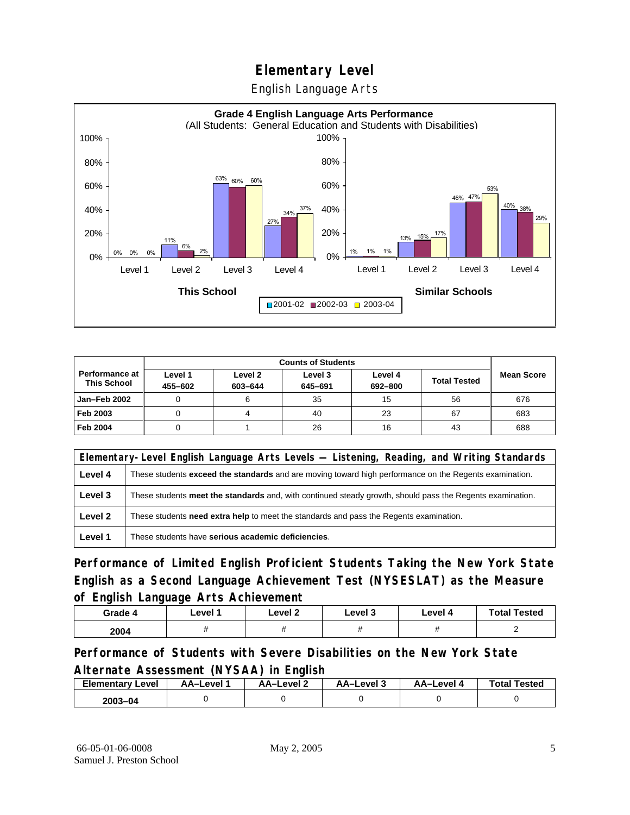English Language Arts



|                                               |                    | <b>Counts of Students</b> |                    |                    |                     |                   |
|-----------------------------------------------|--------------------|---------------------------|--------------------|--------------------|---------------------|-------------------|
| <b>Performance at I</b><br><b>This School</b> | Level 1<br>455-602 | Level 2<br>603-644        | Level 3<br>645-691 | Level 4<br>692-800 | <b>Total Tested</b> | <b>Mean Score</b> |
| Jan-Feb 2002                                  |                    |                           | 35                 | 15                 | 56                  | 676               |
| Feb 2003                                      |                    |                           | 40                 | 23                 | 67                  | 683               |
| <b>Feb 2004</b>                               |                    |                           | 26                 | 16                 | 43                  | 688               |

| Elementary-Level English Language Arts Levels — Listening, Reading, and Writing Standards |                                                                                                           |  |  |
|-------------------------------------------------------------------------------------------|-----------------------------------------------------------------------------------------------------------|--|--|
| Level 4                                                                                   | These students exceed the standards and are moving toward high performance on the Regents examination.    |  |  |
| Level 3                                                                                   | These students meet the standards and, with continued steady growth, should pass the Regents examination. |  |  |
| Level 2                                                                                   | These students <b>need extra help</b> to meet the standards and pass the Regents examination.             |  |  |
| Level 1                                                                                   | These students have serious academic deficiencies.                                                        |  |  |

**Performance of Limited English Proficient Students Taking the New York State English as a Second Language Achievement Test (NYSESLAT) as the Measure of English Language Arts Achievement**

| Grade 4 | Level 1 | Level 2 | Level 3 | Level 4 | <b>Total Tested</b> |
|---------|---------|---------|---------|---------|---------------------|
| 2004    |         |         | ,,      |         |                     |

**Performance of Students with Severe Disabilities on the New York State Alternate Assessment (NYSAA) in English** 

| <b>Elementary Level</b> | AA-Level | AA-Level 2 | AA-Level 3 | AA–Level 4 | <b>Total Tested</b> |
|-------------------------|----------|------------|------------|------------|---------------------|
| $2003 - 04$             |          |            |            |            |                     |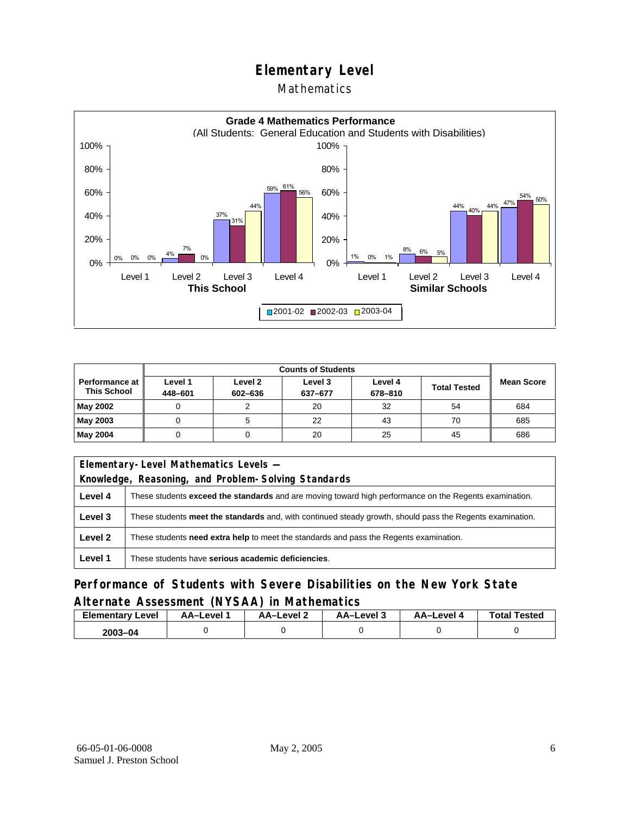#### Mathematics



|                                      |                    | <b>Counts of Students</b> |                    |                    |                     |                   |
|--------------------------------------|--------------------|---------------------------|--------------------|--------------------|---------------------|-------------------|
| Performance at<br><b>This School</b> | Level 1<br>448-601 | Level 2<br>602-636        | Level 3<br>637-677 | Level 4<br>678-810 | <b>Total Tested</b> | <b>Mean Score</b> |
| May 2002                             |                    |                           | 20                 | 32                 | 54                  | 684               |
| May 2003                             |                    |                           | 22                 | 43                 | 70                  | 685               |
| May 2004                             |                    |                           | 20                 | 25                 | 45                  | 686               |

| Elementary-Level Mathematics Levels -                                                             |                                                                                                               |  |  |
|---------------------------------------------------------------------------------------------------|---------------------------------------------------------------------------------------------------------------|--|--|
|                                                                                                   | Knowledge, Reasoning, and Problem-Solving Standards                                                           |  |  |
| Level 4                                                                                           | These students <b>exceed the standards</b> and are moving toward high performance on the Regents examination. |  |  |
| Level 3                                                                                           | These students meet the standards and, with continued steady growth, should pass the Regents examination.     |  |  |
| Level 2<br>These students need extra help to meet the standards and pass the Regents examination. |                                                                                                               |  |  |
| Level 1                                                                                           | These students have serious academic deficiencies.                                                            |  |  |

#### **Performance of Students with Severe Disabilities on the New York State Alternate Assessment (NYSAA) in Mathematics**

| <b>Elementary Level</b> | AA-Level | AA-Level 2 | AA-Level 3 | AA–Level 4 | <b>Total Tested</b> |
|-------------------------|----------|------------|------------|------------|---------------------|
| $2003 - 04$             |          |            |            |            |                     |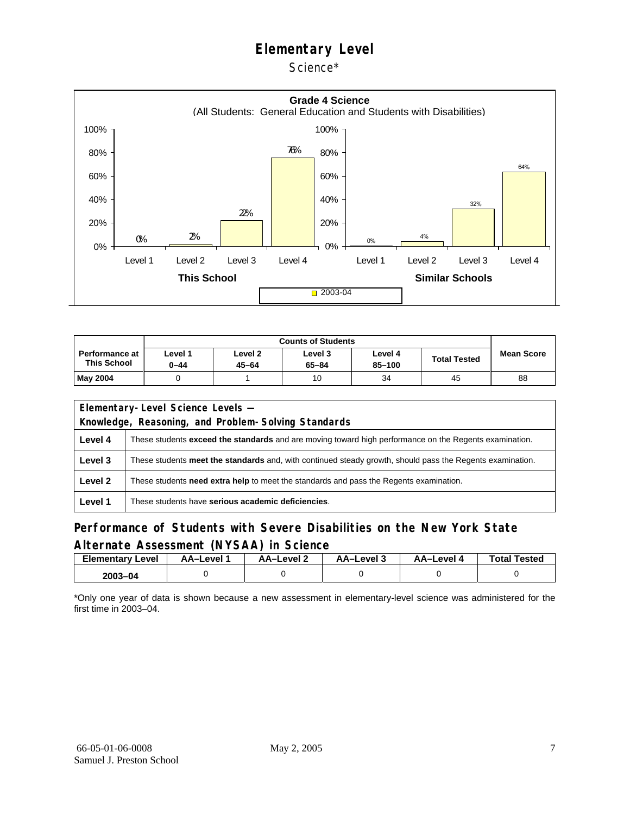Science\*



|                                      | <b>Counts of Students</b> |                      |                      |                   |                     |                   |  |  |
|--------------------------------------|---------------------------|----------------------|----------------------|-------------------|---------------------|-------------------|--|--|
| Performance at<br><b>This School</b> | Level 1<br>0-44           | Level 2<br>$45 - 64$ | Level 3<br>$65 - 84$ | Level 4<br>85-100 | <b>Total Tested</b> | <b>Mean Score</b> |  |  |
| May 2004                             |                           |                      | 10                   | 34                | 45                  | 88                |  |  |

| Elementary-Level Science Levels -                   |                                                                                                               |  |  |  |  |  |  |
|-----------------------------------------------------|---------------------------------------------------------------------------------------------------------------|--|--|--|--|--|--|
| Knowledge, Reasoning, and Problem-Solving Standards |                                                                                                               |  |  |  |  |  |  |
| Level 4                                             | These students <b>exceed the standards</b> and are moving toward high performance on the Regents examination. |  |  |  |  |  |  |
| Level 3                                             | These students meet the standards and, with continued steady growth, should pass the Regents examination.     |  |  |  |  |  |  |
| Level 2                                             | These students <b>need extra help</b> to meet the standards and pass the Regents examination.                 |  |  |  |  |  |  |
| Level 1                                             | These students have serious academic deficiencies.                                                            |  |  |  |  |  |  |

#### **Performance of Students with Severe Disabilities on the New York State Alternate Assessment (NYSAA) in Science**

| <b>Elementary Level</b> | AA-Level | AA–Level ∠ | د AA–Level | AA-Level 4 | <b>Total Tested</b> |
|-------------------------|----------|------------|------------|------------|---------------------|
| 2003-04                 |          |            |            |            |                     |

\*Only one year of data is shown because a new assessment in elementary-level science was administered for the first time in 2003–04.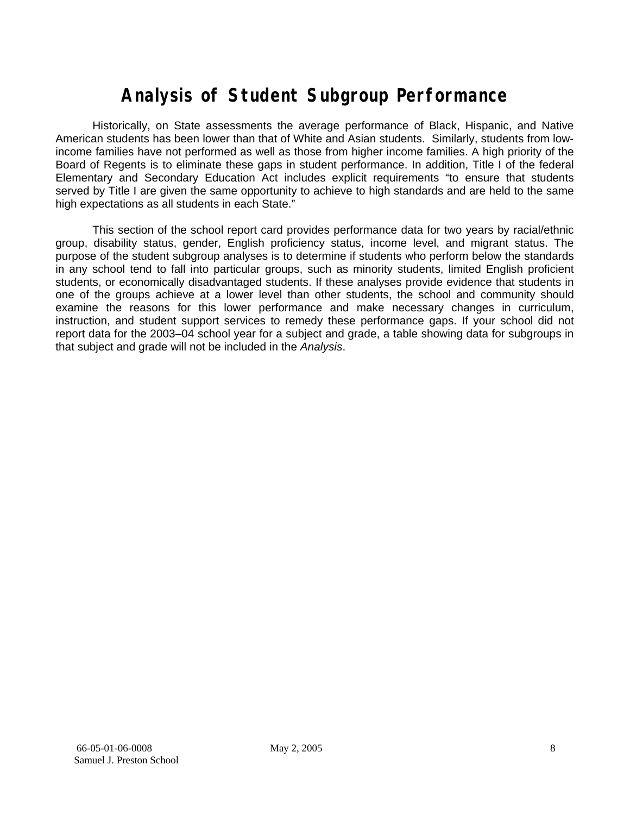## **Analysis of Student Subgroup Performance**

Historically, on State assessments the average performance of Black, Hispanic, and Native American students has been lower than that of White and Asian students. Similarly, students from lowincome families have not performed as well as those from higher income families. A high priority of the Board of Regents is to eliminate these gaps in student performance. In addition, Title I of the federal Elementary and Secondary Education Act includes explicit requirements "to ensure that students served by Title I are given the same opportunity to achieve to high standards and are held to the same high expectations as all students in each State."

This section of the school report card provides performance data for two years by racial/ethnic group, disability status, gender, English proficiency status, income level, and migrant status. The purpose of the student subgroup analyses is to determine if students who perform below the standards in any school tend to fall into particular groups, such as minority students, limited English proficient students, or economically disadvantaged students. If these analyses provide evidence that students in one of the groups achieve at a lower level than other students, the school and community should examine the reasons for this lower performance and make necessary changes in curriculum, instruction, and student support services to remedy these performance gaps. If your school did not report data for the 2003–04 school year for a subject and grade, a table showing data for subgroups in that subject and grade will not be included in the *Analysis*.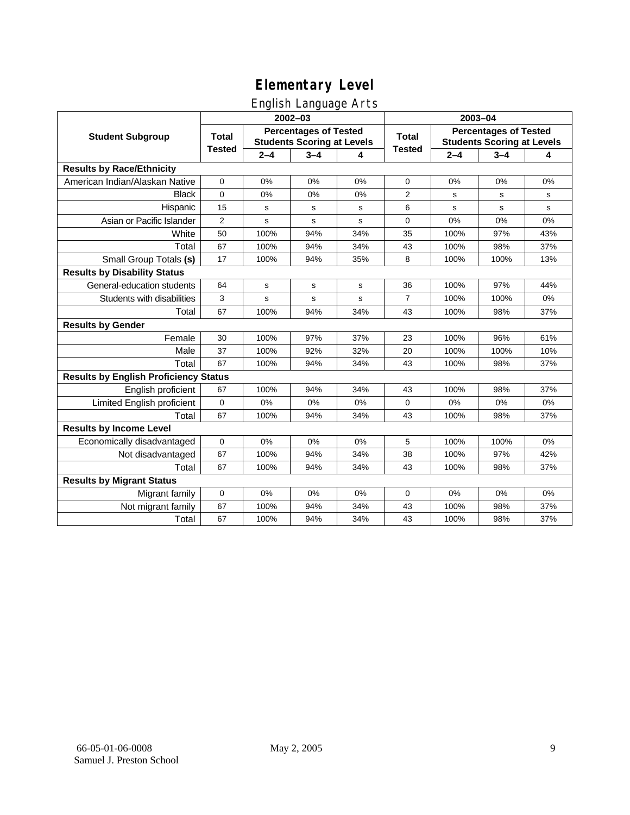### English Language Arts

|                                              |                                                                                   |             | 2002-03     |       | 2003-04                                                           |             |         |       |
|----------------------------------------------|-----------------------------------------------------------------------------------|-------------|-------------|-------|-------------------------------------------------------------------|-------------|---------|-------|
| <b>Student Subgroup</b>                      | <b>Percentages of Tested</b><br><b>Total</b><br><b>Students Scoring at Levels</b> |             |             | Total | <b>Percentages of Tested</b><br><b>Students Scoring at Levels</b> |             |         |       |
|                                              | <b>Tested</b>                                                                     | $2 - 4$     | $3 - 4$     | 4     | <b>Tested</b>                                                     | $2 - 4$     | $3 - 4$ | 4     |
| <b>Results by Race/Ethnicity</b>             |                                                                                   |             |             |       |                                                                   |             |         |       |
| American Indian/Alaskan Native               | 0                                                                                 | 0%          | 0%          | 0%    | 0                                                                 | 0%          | 0%      | 0%    |
| <b>Black</b>                                 | 0                                                                                 | 0%          | 0%          | 0%    | 2                                                                 | s           | s       | s     |
| Hispanic                                     | 15                                                                                | s           | s           | s     | 6                                                                 | $\mathbf s$ | s       | s     |
| Asian or Pacific Islander                    | $\overline{2}$                                                                    | s           | $\mathbf s$ | s     | 0                                                                 | 0%          | 0%      | $0\%$ |
| White                                        | 50                                                                                | 100%        | 94%         | 34%   | 35                                                                | 100%        | 97%     | 43%   |
| Total                                        | 67                                                                                | 100%        | 94%         | 34%   | 43                                                                | 100%        | 98%     | 37%   |
| Small Group Totals (s)                       | 17                                                                                | 100%        | 94%         | 35%   | 8                                                                 | 100%        | 100%    | 13%   |
| <b>Results by Disability Status</b>          |                                                                                   |             |             |       |                                                                   |             |         |       |
| General-education students                   | 64                                                                                | $\mathbf s$ | ${\tt s}$   | s     | 36                                                                | 100%        | 97%     | 44%   |
| Students with disabilities                   | 3                                                                                 | s           | $\mathbf s$ | s     | $\overline{7}$                                                    | 100%        | 100%    | $0\%$ |
| Total                                        | 67                                                                                | 100%        | 94%         | 34%   | 43                                                                | 100%        | 98%     | 37%   |
| <b>Results by Gender</b>                     |                                                                                   |             |             |       |                                                                   |             |         |       |
| Female                                       | 30                                                                                | 100%        | 97%         | 37%   | 23                                                                | 100%        | 96%     | 61%   |
| Male                                         | 37                                                                                | 100%        | 92%         | 32%   | 20                                                                | 100%        | 100%    | 10%   |
| Total                                        | 67                                                                                | 100%        | 94%         | 34%   | 43                                                                | 100%        | 98%     | 37%   |
| <b>Results by English Proficiency Status</b> |                                                                                   |             |             |       |                                                                   |             |         |       |
| English proficient                           | 67                                                                                | 100%        | 94%         | 34%   | 43                                                                | 100%        | 98%     | 37%   |
| Limited English proficient                   | $\mathbf 0$                                                                       | 0%          | 0%          | 0%    | 0                                                                 | 0%          | 0%      | 0%    |
| Total                                        | 67                                                                                | 100%        | 94%         | 34%   | 43                                                                | 100%        | 98%     | 37%   |
| <b>Results by Income Level</b>               |                                                                                   |             |             |       |                                                                   |             |         |       |
| Economically disadvantaged                   | 0                                                                                 | 0%          | 0%          | 0%    | 5                                                                 | 100%        | 100%    | 0%    |
| Not disadvantaged                            | 67                                                                                | 100%        | 94%         | 34%   | 38                                                                | 100%        | 97%     | 42%   |
| Total                                        | 67                                                                                | 100%        | 94%         | 34%   | 43                                                                | 100%        | 98%     | 37%   |
| <b>Results by Migrant Status</b>             |                                                                                   |             |             |       |                                                                   |             |         |       |
| Migrant family                               | $\mathbf 0$                                                                       | 0%          | 0%          | 0%    | 0                                                                 | 0%          | 0%      | 0%    |
| Not migrant family                           | 67                                                                                | 100%        | 94%         | 34%   | 43                                                                | 100%        | 98%     | 37%   |
| Total                                        | 67                                                                                | 100%        | 94%         | 34%   | 43                                                                | 100%        | 98%     | 37%   |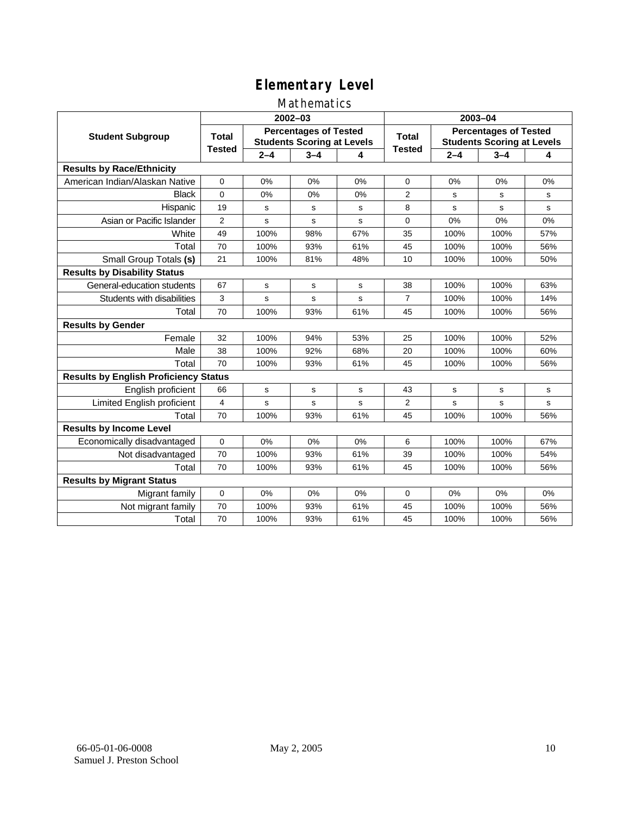### Mathematics

|                                              |                                                                                   |             | $2002 - 03$  |       | 2003-04                                                           |         |             |              |  |
|----------------------------------------------|-----------------------------------------------------------------------------------|-------------|--------------|-------|-------------------------------------------------------------------|---------|-------------|--------------|--|
| <b>Student Subgroup</b>                      | <b>Percentages of Tested</b><br><b>Total</b><br><b>Students Scoring at Levels</b> |             |              | Total | <b>Percentages of Tested</b><br><b>Students Scoring at Levels</b> |         |             |              |  |
|                                              | <b>Tested</b>                                                                     | $2 - 4$     | $3 - 4$      | 4     | <b>Tested</b>                                                     | $2 - 4$ | $3 - 4$     | 4            |  |
| <b>Results by Race/Ethnicity</b>             |                                                                                   |             |              |       |                                                                   |         |             |              |  |
| American Indian/Alaskan Native               | $\mathbf{0}$                                                                      | 0%          | 0%           | 0%    | $\Omega$                                                          | 0%      | 0%          | 0%           |  |
| <b>Black</b>                                 | 0                                                                                 | 0%          | 0%           | 0%    | $\overline{2}$                                                    | s       | s           | s            |  |
| Hispanic                                     | 19                                                                                | s           | s            | s     | 8                                                                 | s       | s           | $\mathbf{s}$ |  |
| Asian or Pacific Islander                    | $\overline{2}$                                                                    | s           | $\mathsf{s}$ | s     | 0                                                                 | 0%      | 0%          | 0%           |  |
| White                                        | 49                                                                                | 100%        | 98%          | 67%   | 35                                                                | 100%    | 100%        | 57%          |  |
| Total                                        | 70                                                                                | 100%        | 93%          | 61%   | 45                                                                | 100%    | 100%        | 56%          |  |
| Small Group Totals (s)                       | 21                                                                                | 100%        | 81%          | 48%   | 10                                                                | 100%    | 100%        | 50%          |  |
| <b>Results by Disability Status</b>          |                                                                                   |             |              |       |                                                                   |         |             |              |  |
| General-education students                   | 67                                                                                | s           | s            | s     | 38                                                                | 100%    | 100%        | 63%          |  |
| Students with disabilities                   | 3                                                                                 | s           | $\mathbf s$  | s     | $\overline{7}$                                                    | 100%    | 100%        | 14%          |  |
| Total                                        | 70                                                                                | 100%        | 93%          | 61%   | 45                                                                | 100%    | 100%        | 56%          |  |
| <b>Results by Gender</b>                     |                                                                                   |             |              |       |                                                                   |         |             |              |  |
| Female                                       | 32                                                                                | 100%        | 94%          | 53%   | 25                                                                | 100%    | 100%        | 52%          |  |
| Male                                         | 38                                                                                | 100%        | 92%          | 68%   | 20                                                                | 100%    | 100%        | 60%          |  |
| Total                                        | 70                                                                                | 100%        | 93%          | 61%   | 45                                                                | 100%    | 100%        | 56%          |  |
| <b>Results by English Proficiency Status</b> |                                                                                   |             |              |       |                                                                   |         |             |              |  |
| English proficient                           | 66                                                                                | $\mathbf s$ | s            | s     | 43                                                                | s       | $\mathbf s$ | s            |  |
| Limited English proficient                   | 4                                                                                 | s           | s            | s     | $\overline{2}$                                                    | s       | s           | $\mathbf{s}$ |  |
| Total                                        | 70                                                                                | 100%        | 93%          | 61%   | 45                                                                | 100%    | 100%        | 56%          |  |
| <b>Results by Income Level</b>               |                                                                                   |             |              |       |                                                                   |         |             |              |  |
| Economically disadvantaged                   | 0                                                                                 | 0%          | 0%           | 0%    | 6                                                                 | 100%    | 100%        | 67%          |  |
| Not disadvantaged                            | 70                                                                                | 100%        | 93%          | 61%   | 39                                                                | 100%    | 100%        | 54%          |  |
| Total                                        | 70                                                                                | 100%        | 93%          | 61%   | 45                                                                | 100%    | 100%        | 56%          |  |
| <b>Results by Migrant Status</b>             |                                                                                   |             |              |       |                                                                   |         |             |              |  |
| Migrant family                               | 0                                                                                 | 0%          | 0%           | 0%    | 0                                                                 | 0%      | 0%          | 0%           |  |
| Not migrant family                           | 70                                                                                | 100%        | 93%          | 61%   | 45                                                                | 100%    | 100%        | 56%          |  |
| Total                                        | 70                                                                                | 100%        | 93%          | 61%   | 45                                                                | 100%    | 100%        | 56%          |  |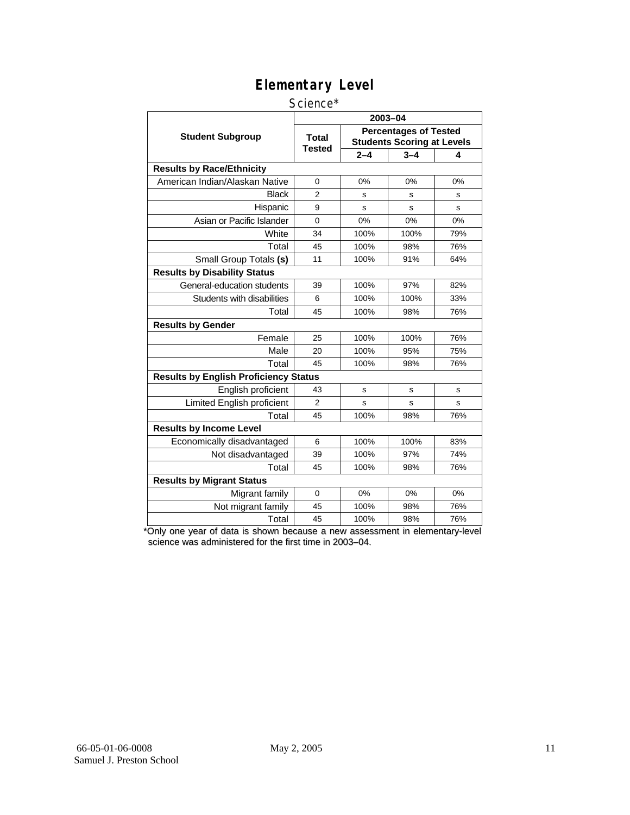#### Science\*

|                                              | 2003-04                |                                                                   |         |     |  |  |  |
|----------------------------------------------|------------------------|-------------------------------------------------------------------|---------|-----|--|--|--|
| <b>Student Subgroup</b>                      | <b>Total</b><br>Tested | <b>Percentages of Tested</b><br><b>Students Scoring at Levels</b> |         |     |  |  |  |
|                                              |                        | $2 - 4$                                                           | $3 - 4$ | 4   |  |  |  |
| <b>Results by Race/Ethnicity</b>             |                        |                                                                   |         |     |  |  |  |
| American Indian/Alaskan Native               | $\Omega$               | 0%                                                                | 0%      | 0%  |  |  |  |
| <b>Black</b>                                 | $\overline{2}$         | s                                                                 | s       | s   |  |  |  |
| Hispanic                                     | 9                      | S                                                                 | s       | S   |  |  |  |
| Asian or Pacific Islander                    | 0                      | 0%<br>0%                                                          |         | 0%  |  |  |  |
| White                                        | 34                     | 100%                                                              | 100%    | 79% |  |  |  |
| Total                                        | 45                     | 100%                                                              | 98%     | 76% |  |  |  |
| Small Group Totals (s)                       | 11                     | 100%                                                              | 91%     | 64% |  |  |  |
| <b>Results by Disability Status</b>          |                        |                                                                   |         |     |  |  |  |
| General-education students                   | 39                     | 100%                                                              | 97%     | 82% |  |  |  |
| Students with disabilities                   | 6                      | 100%                                                              | 100%    | 33% |  |  |  |
| Total                                        | 45                     | 100%                                                              | 98%     | 76% |  |  |  |
| <b>Results by Gender</b>                     |                        |                                                                   |         |     |  |  |  |
| Female                                       | 25                     | 100%                                                              | 100%    | 76% |  |  |  |
| Male                                         | 20                     | 100%                                                              | 95%     | 75% |  |  |  |
| Total                                        | 45                     | 100%                                                              | 98%     | 76% |  |  |  |
| <b>Results by English Proficiency Status</b> |                        |                                                                   |         |     |  |  |  |
| English proficient                           | 43                     | s                                                                 | s       | s   |  |  |  |
| Limited English proficient                   | $\overline{2}$         | S                                                                 | s       | s   |  |  |  |
| Total                                        | 45                     | 100%                                                              | 98%     | 76% |  |  |  |
| <b>Results by Income Level</b>               |                        |                                                                   |         |     |  |  |  |
| Economically disadvantaged                   | 6                      | 100%                                                              | 100%    | 83% |  |  |  |
| Not disadvantaged                            | 39                     | 100%                                                              | 97%     | 74% |  |  |  |
| Total                                        | 45                     | 100%                                                              | 98%     | 76% |  |  |  |
| <b>Results by Migrant Status</b>             |                        |                                                                   |         |     |  |  |  |
| Migrant family                               | 0                      | 0%                                                                | 0%      | 0%  |  |  |  |
| Not migrant family                           | 45                     | 100%                                                              | 98%     | 76% |  |  |  |
| Total                                        | 45                     | 100%                                                              | 98%     | 76% |  |  |  |

\*Only one year of data is shown because a new assessment in elementary-level science was administered for the first time in 2003–04.